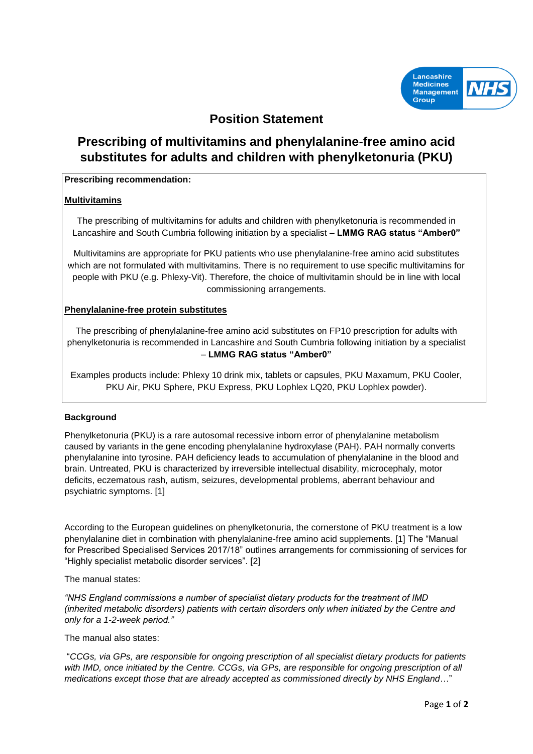

# **Position Statement**

# **Prescribing of multivitamins and phenylalanine-free amino acid substitutes for adults and children with phenylketonuria (PKU)**

## **Prescribing recommendation:**

## **Multivitamins**

The prescribing of multivitamins for adults and children with phenylketonuria is recommended in Lancashire and South Cumbria following initiation by a specialist – **LMMG RAG status "Amber0"**

Multivitamins are appropriate for PKU patients who use phenylalanine-free amino acid substitutes which are not formulated with multivitamins. There is no requirement to use specific multivitamins for people with PKU (e.g. Phlexy-Vit). Therefore, the choice of multivitamin should be in line with local commissioning arrangements.

### **Phenylalanine-free protein substitutes**

The prescribing of phenylalanine-free amino acid substitutes on FP10 prescription for adults with phenylketonuria is recommended in Lancashire and South Cumbria following initiation by a specialist – **LMMG RAG status "Amber0"**

Examples products include: Phlexy 10 drink mix, tablets or capsules, PKU Maxamum, PKU Cooler, PKU Air, PKU Sphere, PKU Express, PKU Lophlex LQ20, PKU Lophlex powder).

## **Background**

Phenylketonuria (PKU) is a rare autosomal recessive inborn error of phenylalanine metabolism caused by variants in the gene encoding phenylalanine hydroxylase (PAH). PAH normally converts phenylalanine into tyrosine. PAH deficiency leads to accumulation of phenylalanine in the blood and brain. Untreated, PKU is characterized by irreversible intellectual disability, microcephaly, motor deficits, eczematous rash, autism, seizures, developmental problems, aberrant behaviour and psychiatric symptoms. [1]

According to the European guidelines on phenylketonuria, the cornerstone of PKU treatment is a low phenylalanine diet in combination with phenylalanine-free amino acid supplements. [1] The "Manual for Prescribed Specialised Services 2017/18" outlines arrangements for commissioning of services for "Highly specialist metabolic disorder services". [2]

The manual states:

*"NHS England commissions a number of specialist dietary products for the treatment of IMD (inherited metabolic disorders) patients with certain disorders only when initiated by the Centre and only for a 1-2-week period."*

The manual also states:

"*CCGs, via GPs, are responsible for ongoing prescription of all specialist dietary products for patients with IMD, once initiated by the Centre. CCGs, via GPs, are responsible for ongoing prescription of all medications except those that are already accepted as commissioned directly by NHS England*…"